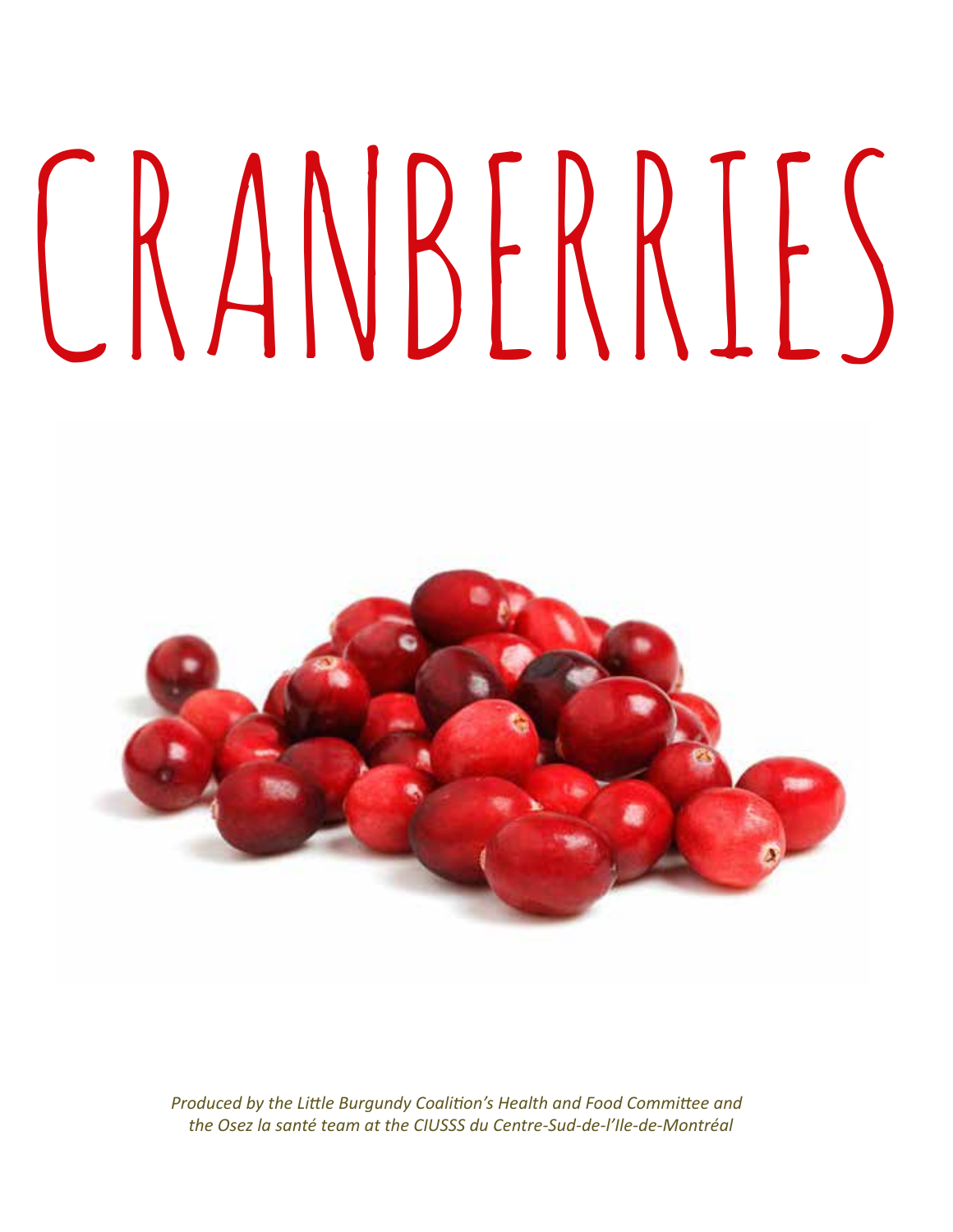# CRANBERRIES



*Produced by the Little Burgundy Coalition's Health and Food Committee and the Osez la santé team at the CIUSSS du Centre-Sud-de-l'Ile-de-Montréal*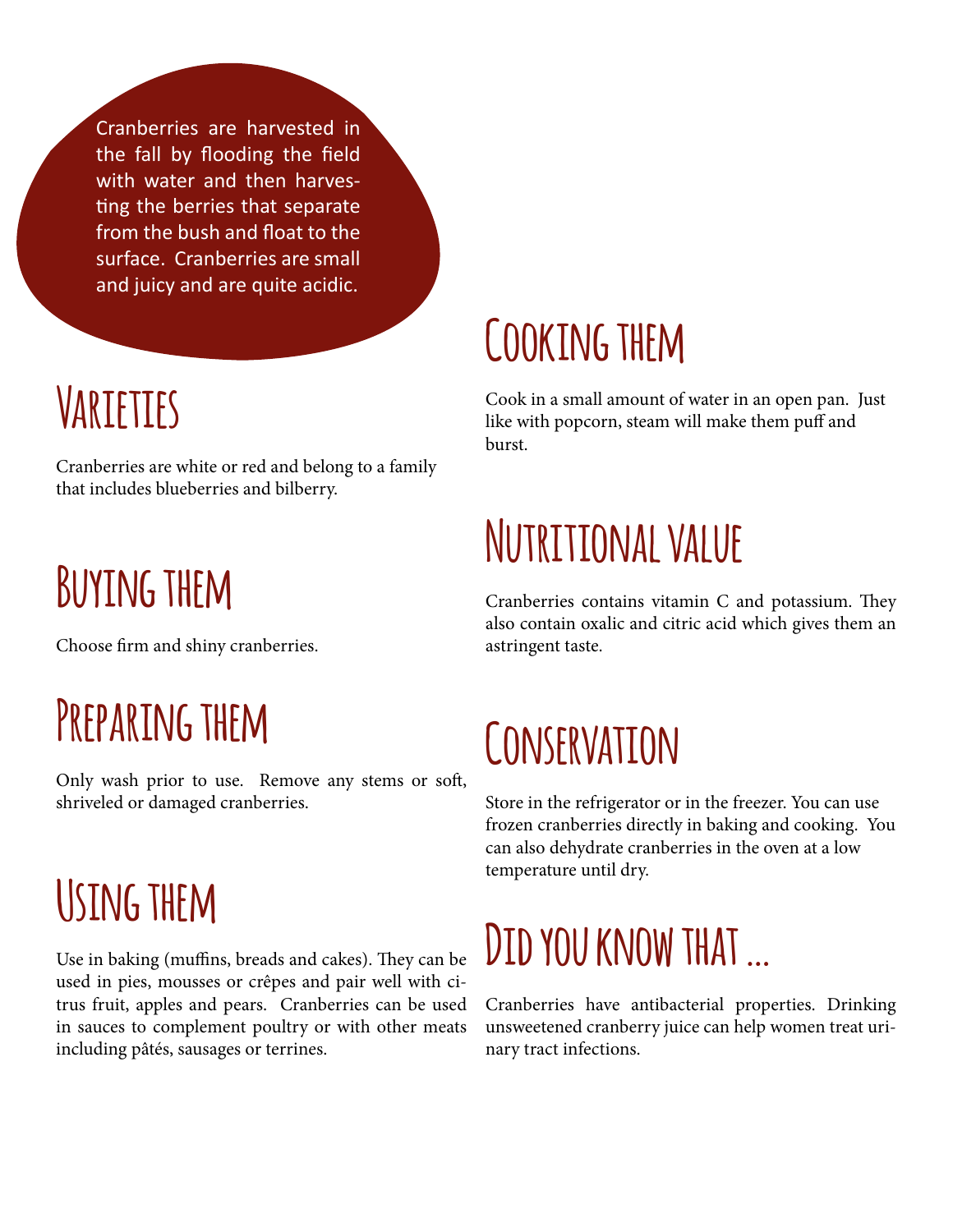Cranberries are harvested in the fall by flooding the field with water and then harvesting the berries that separate from the bush and float to the surface. Cranberries are small and juicy and are quite acidic.

#### **Varieties**

Cranberries are white or red and belong to a family that includes blueberries and bilberry.

# **Buying them**

Choose firm and shiny cranberries.

#### **Preparing them**

Only wash prior to use. Remove any stems or soft, shriveled or damaged cranberries.

# **Using them**

Use in baking (muffins, breads and cakes). They can be used in pies, mousses or crêpes and pair well with citrus fruit, apples and pears. Cranberries can be used in sauces to complement poultry or with other meats including pâtés, sausages or terrines.

#### **Cooking them**

Cook in a small amount of water in an open pan. Just like with popcorn, steam will make them puff and burst.

# **Nutritional value**

Cranberries contains vitamin C and potassium. They also contain oxalic and citric acid which gives them an astringent taste.

#### **Conservation**

Store in the refrigerator or in the freezer. You can use frozen cranberries directly in baking and cooking. You can also dehydrate cranberries in the oven at a low temperature until dry.

# **Did you know that …**

Cranberries have antibacterial properties. Drinking unsweetened cranberry juice can help women treat urinary tract infections.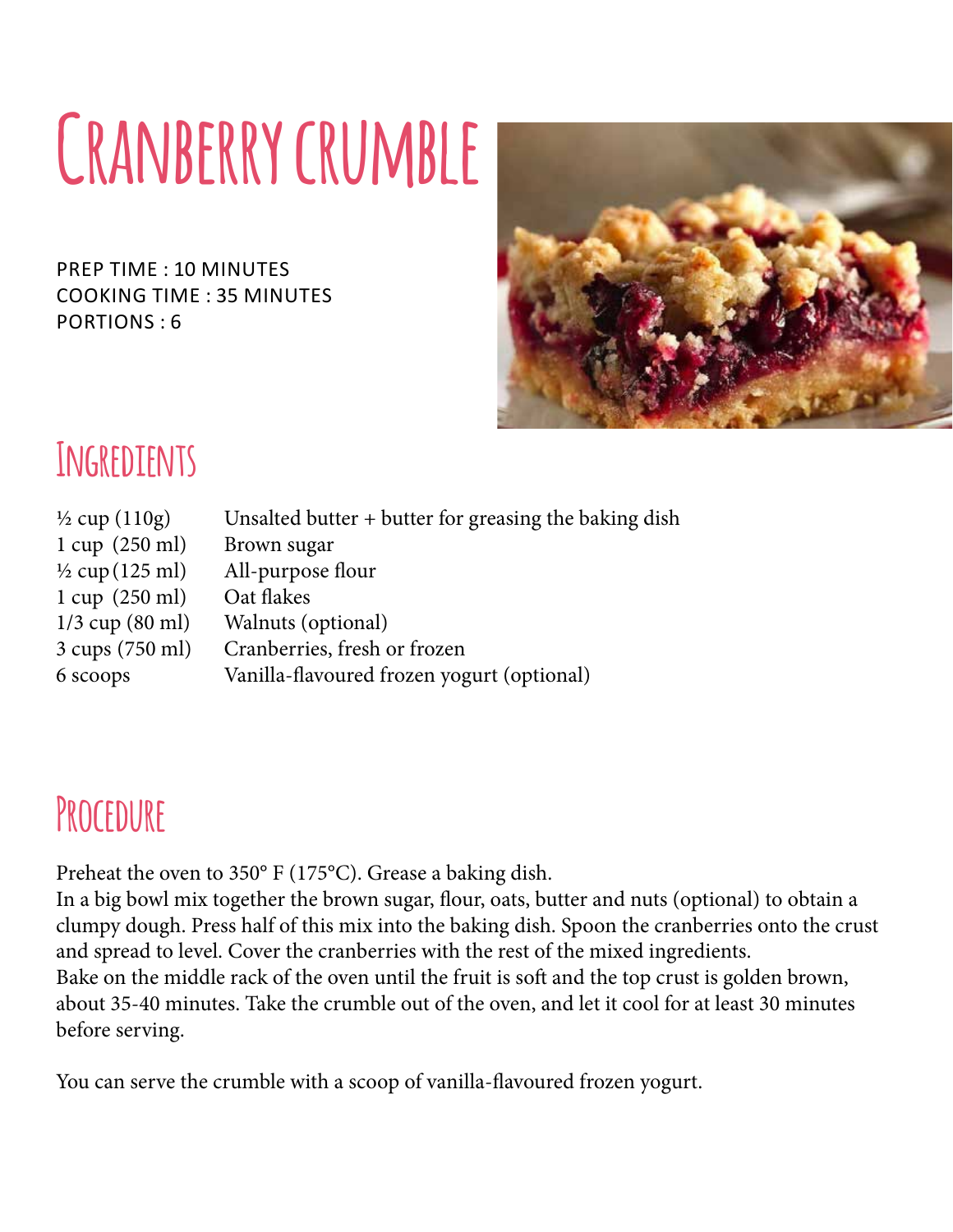# **Cranberry crumble**

prep time : 10 minutes cooking time : 35 minutes Portions : 6



#### **Ingredients**

| $\frac{1}{2}$ cup (110g)         | Unsalted butter + butter for greasing the baking dish |
|----------------------------------|-------------------------------------------------------|
| $1 \text{ cup} (250 \text{ ml})$ | Brown sugar                                           |
| $\frac{1}{2}$ cup (125 ml)       | All-purpose flour                                     |
| $1 \text{ cup} (250 \text{ ml})$ | Oat flakes                                            |
| $1/3$ cup $(80 \text{ ml})$      | Walnuts (optional)                                    |
| 3 cups (750 ml)                  | Cranberries, fresh or frozen                          |
| 6 scoops                         | Vanilla-flavoured frozen yogurt (optional)            |
|                                  |                                                       |

#### **Procedure**

Preheat the oven to 350° F (175°C). Grease a baking dish.

In a big bowl mix together the brown sugar, flour, oats, butter and nuts (optional) to obtain a clumpy dough. Press half of this mix into the baking dish. Spoon the cranberries onto the crust and spread to level. Cover the cranberries with the rest of the mixed ingredients. Bake on the middle rack of the oven until the fruit is soft and the top crust is golden brown, about 35-40 minutes. Take the crumble out of the oven, and let it cool for at least 30 minutes before serving.

You can serve the crumble with a scoop of vanilla-flavoured frozen yogurt.